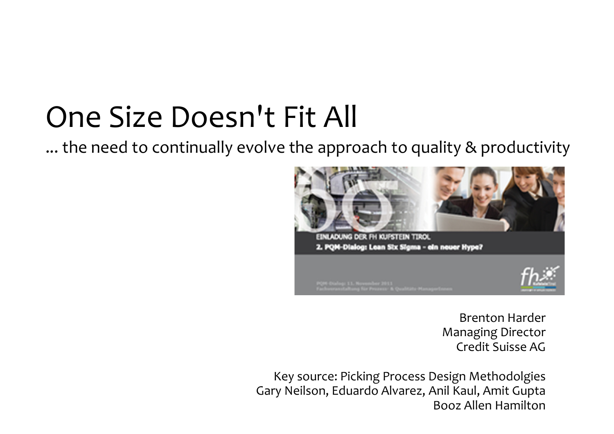# One Size Doesn't Fit All

... the need to continually evolve the approach to quality & productivity



Brenton Harder Managing DirectorCredit Suisse AG

Key source: Picking Process Design Methodolgies Gary Neilson, Eduardo Alvarez, Anil Kaul, Amit GuptaBooz Allen Hamilton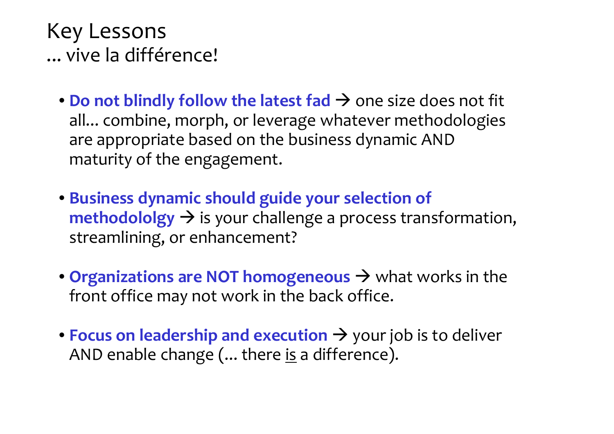#### Key Lessons... vive la différence!

- **Do not blindly follow the latest fad**  $\rightarrow$  one size does not fit all combine morph or leverage whatever methodologies all... combine, morph, or leverage whatever methodologies are appropriate based on the business dynamic AND maturity of the engagement.
- **Business dynamic should guide your selection of methodololgy ->** is your challenge a process transformation,<br>streamlining, or enhancement? streamlining, or enhancement?
- **Organizations are NOT homogeneous**  $\rightarrow$  what works in the front office may not work in the back office front office may not work in the back office.
- **Focus on leadership and execution** your job is to deliver AND enable change (... there is a difference).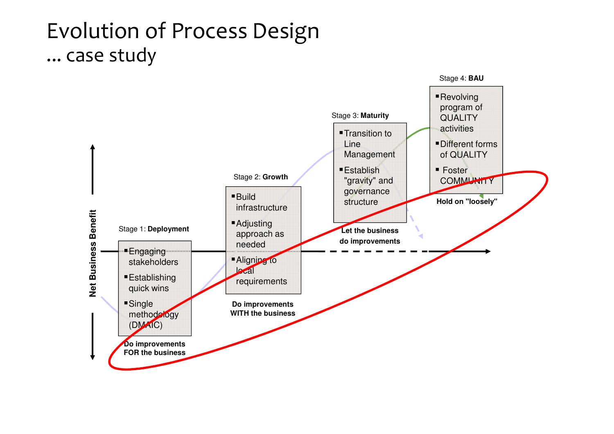## Evolution of Process Design... case study

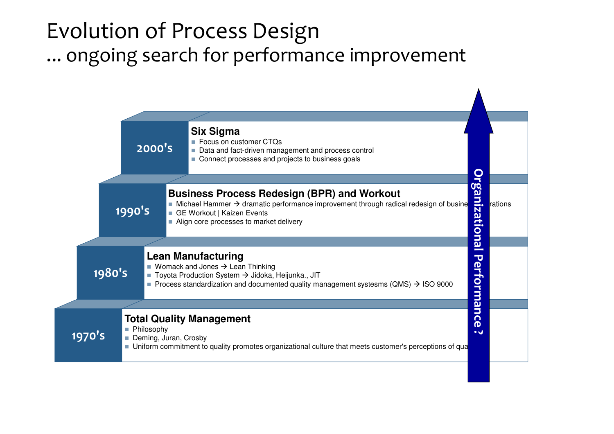# Evolution of Process Design... ongoing search for performance improvement

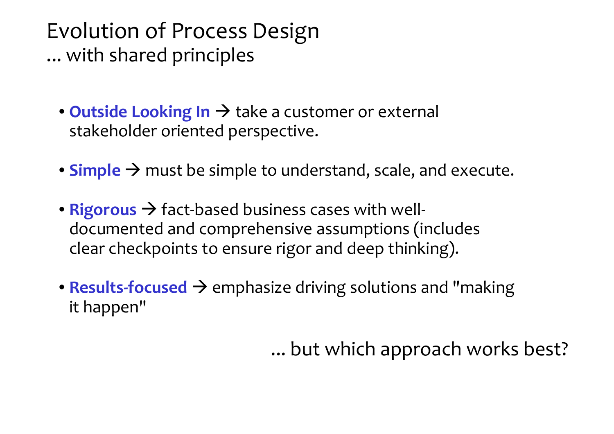#### Evolution of Process Design... with shared principles

- **Outside Looking In**  $\rightarrow$  take a customer or external<br>stakeholder oriented perspective stakeholder oriented perspective.
- **Simple**  $\rightarrow$  must be simple to understand, scale, and execute.
- **Rigorous** fact-based business cases with well documented and comprehensive assumptions (includes clear checkpoints to ensure rigor and deep thinking).
- **Results-focused**  $\rightarrow$  emphasize driving solutions and "making"<br>it hannen" it happen"

... but which approach works best?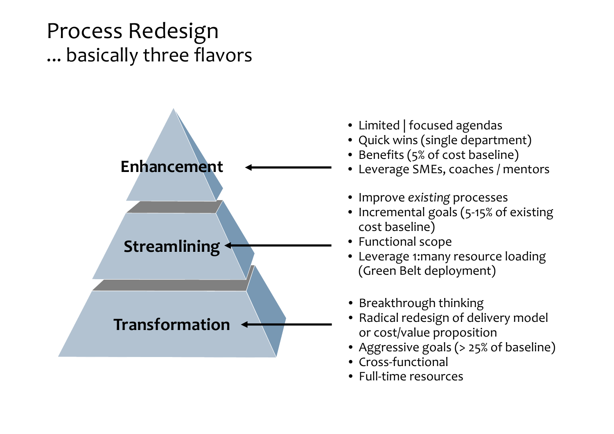# Process Redesign... basically three flavors



- Limited | focused agendas
- Quick wins (single department)
- Benefits (5% of cost baseline)
- Leverage SMEs, coaches / mentors
- Improve *existing* processes
- Incremental goals (5-15% of existing cost baseline)
- Functional scope
- Leverage 1:many resource loading (Green Belt deployment)
- Breakthrough thinking
- Radical redesign of delivery model or cost/value proposition
- Aggressive goals (> 25% of baseline)
- Cross-functional
- Full-time resources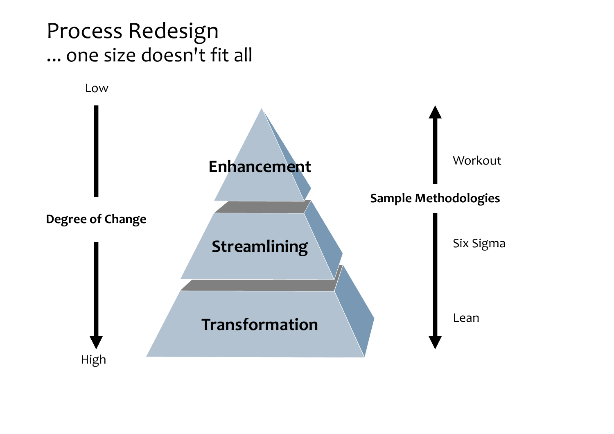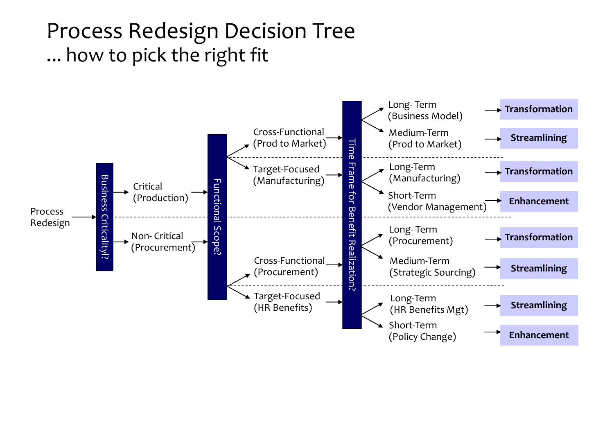## Process Redesign Decision Tree... how to pick the right fit